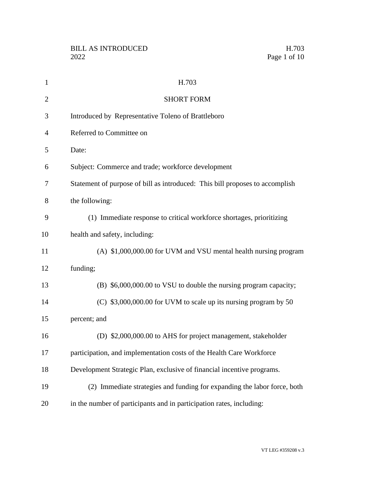| $\mathbf{1}$   | H.703                                                                        |
|----------------|------------------------------------------------------------------------------|
| $\overline{2}$ | <b>SHORT FORM</b>                                                            |
| 3              | Introduced by Representative Toleno of Brattleboro                           |
| $\overline{4}$ | Referred to Committee on                                                     |
| 5              | Date:                                                                        |
| 6              | Subject: Commerce and trade; workforce development                           |
| 7              | Statement of purpose of bill as introduced: This bill proposes to accomplish |
| 8              | the following:                                                               |
| 9              | (1) Immediate response to critical workforce shortages, prioritizing         |
| 10             | health and safety, including:                                                |
| 11             | (A) \$1,000,000.00 for UVM and VSU mental health nursing program             |
| 12             | funding;                                                                     |
| 13             | (B) \$6,000,000.00 to VSU to double the nursing program capacity;            |
| 14             | $(C)$ \$3,000,000.00 for UVM to scale up its nursing program by 50           |
| 15             | percent; and                                                                 |
| 16             | (D) \$2,000,000.00 to AHS for project management, stakeholder                |
| 17             | participation, and implementation costs of the Health Care Workforce         |
| 18             | Development Strategic Plan, exclusive of financial incentive programs.       |
| 19             | (2) Immediate strategies and funding for expanding the labor force, both     |
| 20             | in the number of participants and in participation rates, including:         |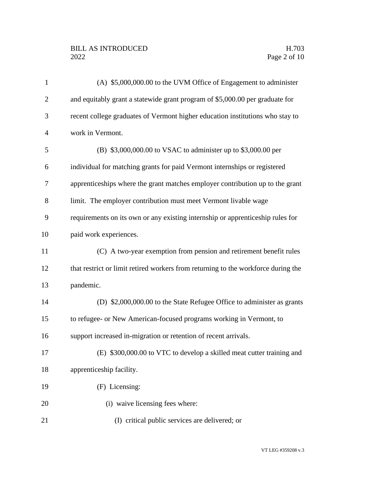# BILL AS INTRODUCED H.703<br>2022 Page 2 of 10

| $\mathbf{1}$   | (A) \$5,000,000.00 to the UVM Office of Engagement to administer                  |
|----------------|-----------------------------------------------------------------------------------|
| $\overline{2}$ | and equitably grant a statewide grant program of \$5,000.00 per graduate for      |
| 3              | recent college graduates of Vermont higher education institutions who stay to     |
| $\overline{4}$ | work in Vermont.                                                                  |
| 5              | (B) \$3,000,000.00 to VSAC to administer up to \$3,000.00 per                     |
| 6              | individual for matching grants for paid Vermont internships or registered         |
| 7              | apprenticeships where the grant matches employer contribution up to the grant     |
| 8              | limit. The employer contribution must meet Vermont livable wage                   |
| 9              | requirements on its own or any existing internship or apprenticeship rules for    |
| 10             | paid work experiences.                                                            |
| 11             | (C) A two-year exemption from pension and retirement benefit rules                |
| 12             | that restrict or limit retired workers from returning to the workforce during the |
| 13             | pandemic.                                                                         |
| 14             | (D) \$2,000,000.00 to the State Refugee Office to administer as grants            |
| 15             | to refugee- or New American-focused programs working in Vermont, to               |
| 16             | support increased in-migration or retention of recent arrivals.                   |
| 17             | (E) \$300,000.00 to VTC to develop a skilled meat cutter training and             |
| 18             | apprenticeship facility.                                                          |
| 19             | (F) Licensing:                                                                    |
| 20             | (i) waive licensing fees where:                                                   |
| 21             | (I) critical public services are delivered; or                                    |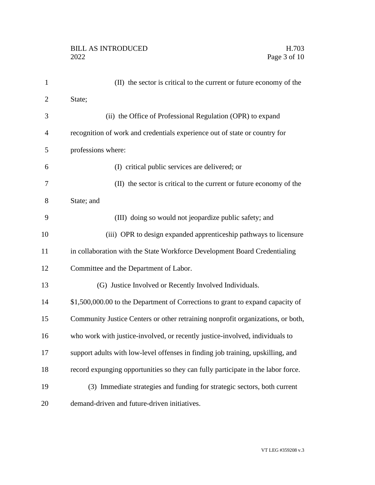| $\mathbf{1}$   | (II) the sector is critical to the current or future economy of the              |
|----------------|----------------------------------------------------------------------------------|
| $\overline{2}$ | State;                                                                           |
| 3              | (ii) the Office of Professional Regulation (OPR) to expand                       |
| 4              | recognition of work and credentials experience out of state or country for       |
| 5              | professions where:                                                               |
| 6              | (I) critical public services are delivered; or                                   |
| 7              | (II) the sector is critical to the current or future economy of the              |
| 8              | State; and                                                                       |
| 9              | (III) doing so would not jeopardize public safety; and                           |
| 10             | (iii) OPR to design expanded apprenticeship pathways to licensure                |
| 11             | in collaboration with the State Workforce Development Board Credentialing        |
| 12             | Committee and the Department of Labor.                                           |
| 13             | (G) Justice Involved or Recently Involved Individuals.                           |
| 14             | \$1,500,000.00 to the Department of Corrections to grant to expand capacity of   |
| 15             | Community Justice Centers or other retraining nonprofit organizations, or both,  |
| 16             | who work with justice-involved, or recently justice-involved, individuals to     |
| 17             | support adults with low-level offenses in finding job training, upskilling, and  |
| 18             | record expunging opportunities so they can fully participate in the labor force. |
| 19             | (3) Immediate strategies and funding for strategic sectors, both current         |
| 20             | demand-driven and future-driven initiatives.                                     |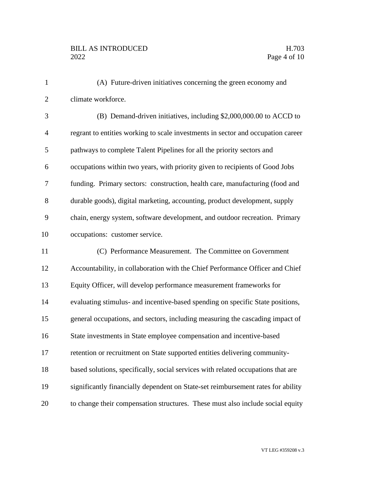| $\mathbf{1}$   | (A) Future-driven initiatives concerning the green economy and                   |
|----------------|----------------------------------------------------------------------------------|
| $\overline{2}$ | climate workforce.                                                               |
| 3              | (B) Demand-driven initiatives, including \$2,000,000.00 to ACCD to               |
| $\overline{4}$ | regrant to entities working to scale investments in sector and occupation career |
| 5              | pathways to complete Talent Pipelines for all the priority sectors and           |
| 6              | occupations within two years, with priority given to recipients of Good Jobs     |
| 7              | funding. Primary sectors: construction, health care, manufacturing (food and     |
| 8              | durable goods), digital marketing, accounting, product development, supply       |
| 9              | chain, energy system, software development, and outdoor recreation. Primary      |
| 10             | occupations: customer service.                                                   |
| 11             | (C) Performance Measurement. The Committee on Government                         |
| 12             | Accountability, in collaboration with the Chief Performance Officer and Chief    |
| 13             | Equity Officer, will develop performance measurement frameworks for              |
| 14             | evaluating stimulus- and incentive-based spending on specific State positions,   |
| 15             | general occupations, and sectors, including measuring the cascading impact of    |
| 16             | State investments in State employee compensation and incentive-based             |
| 17             | retention or recruitment on State supported entities delivering community-       |
| 18             | based solutions, specifically, social services with related occupations that are |
| 19             | significantly financially dependent on State-set reimbursement rates for ability |
| 20             | to change their compensation structures. These must also include social equity   |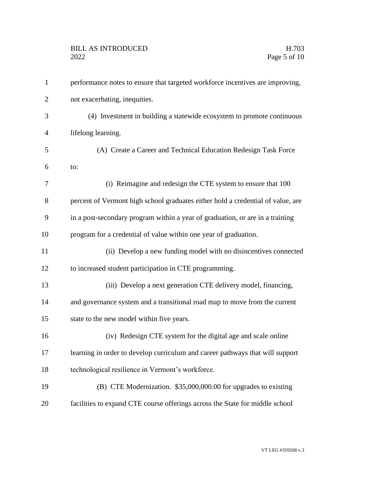| $\mathbf{1}$   | performance notes to ensure that targeted workforce incentives are improving,   |
|----------------|---------------------------------------------------------------------------------|
| 2              | not exacerbating, inequities.                                                   |
| 3              | (4) Investment in building a statewide ecosystem to promote continuous          |
| $\overline{4}$ | lifelong learning.                                                              |
| 5              | (A) Create a Career and Technical Education Redesign Task Force                 |
| 6              | to:                                                                             |
| 7              | (i) Reimagine and redesign the CTE system to ensure that 100                    |
| 8              | percent of Vermont high school graduates either hold a credential of value, are |
| 9              | in a post-secondary program within a year of graduation, or are in a training   |
| 10             | program for a credential of value within one year of graduation.                |
| 11             | (ii) Develop a new funding model with no disincentives connected                |
| 12             | to increased student participation in CTE programming.                          |
| 13             | (iii) Develop a next generation CTE delivery model, financing,                  |
| 14             | and governance system and a transitional road map to move from the current      |
| 15             | state to the new model within five years.                                       |
| 16             | (iv) Redesign CTE system for the digital age and scale online                   |
| 17             | learning in order to develop curriculum and career pathways that will support   |
| 18             | technological resilience in Vermont's workforce.                                |
| 19             | (B) CTE Modernization. \$35,000,000.00 for upgrades to existing                 |
| 20             | facilities to expand CTE course offerings across the State for middle school    |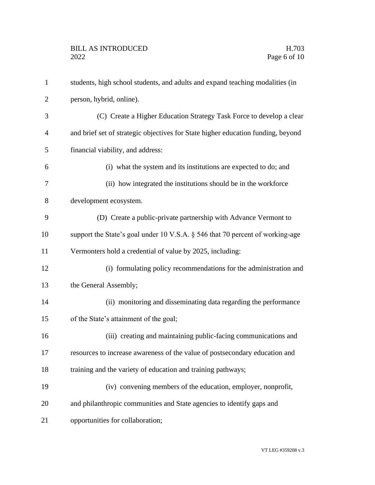| $\mathbf{1}$ | students, high school students, and adults and expand teaching modalities (in    |
|--------------|----------------------------------------------------------------------------------|
| 2            | person, hybrid, online).                                                         |
| 3            | (C) Create a Higher Education Strategy Task Force to develop a clear             |
| 4            | and brief set of strategic objectives for State higher education funding, beyond |
| 5            | financial viability, and address:                                                |
| 6            | (i) what the system and its institutions are expected to do; and                 |
| 7            | (ii) how integrated the institutions should be in the workforce                  |
| 8            | development ecosystem.                                                           |
| 9            | (D) Create a public-private partnership with Advance Vermont to                  |
| 10           | support the State's goal under 10 V.S.A. § 546 that 70 percent of working-age    |
| 11           | Vermonters hold a credential of value by 2025, including:                        |
| 12           | (i) formulating policy recommendations for the administration and                |
| 13           | the General Assembly;                                                            |
| 14           | (ii) monitoring and disseminating data regarding the performance                 |
| 15           | of the State's attainment of the goal;                                           |
| 16           | (iii) creating and maintaining public-facing communications and                  |
| 17           | resources to increase awareness of the value of postsecondary education and      |
| 18           | training and the variety of education and training pathways;                     |
| 19           | (iv) convening members of the education, employer, nonprofit,                    |
| 20           | and philanthropic communities and State agencies to identify gaps and            |
| 21           | opportunities for collaboration;                                                 |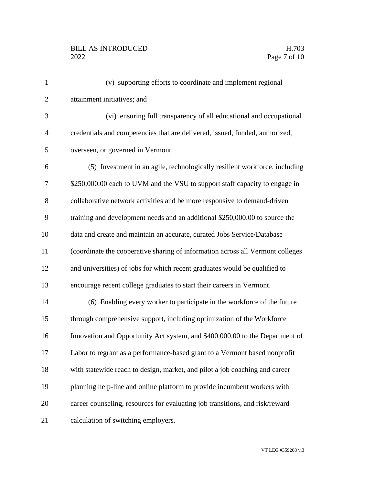# BILL AS INTRODUCED H.703<br>2022 Page 7 of 10

| $\mathbf{1}$   | (v) supporting efforts to coordinate and implement regional                    |
|----------------|--------------------------------------------------------------------------------|
| $\overline{2}$ | attainment initiatives; and                                                    |
| 3              | (vi) ensuring full transparency of all educational and occupational            |
| $\overline{4}$ | credentials and competencies that are delivered, issued, funded, authorized,   |
| 5              | overseen, or governed in Vermont.                                              |
| 6              | (5) Investment in an agile, technologically resilient workforce, including     |
| $\tau$         | \$250,000.00 each to UVM and the VSU to support staff capacity to engage in    |
| 8              | collaborative network activities and be more responsive to demand-driven       |
| 9              | training and development needs and an additional \$250,000.00 to source the    |
| 10             | data and create and maintain an accurate, curated Jobs Service/Database        |
| 11             | (coordinate the cooperative sharing of information across all Vermont colleges |
| 12             | and universities) of jobs for which recent graduates would be qualified to     |
| 13             | encourage recent college graduates to start their careers in Vermont.          |
| 14             | (6) Enabling every worker to participate in the workforce of the future        |
| 15             | through comprehensive support, including optimization of the Workforce         |
| 16             | Innovation and Opportunity Act system, and \$400,000.00 to the Department of   |
| 17             | Labor to regrant as a performance-based grant to a Vermont based nonprofit     |
| 18             | with statewide reach to design, market, and pilot a job coaching and career    |
| 19             | planning help-line and online platform to provide incumbent workers with       |
| 20             | career counseling, resources for evaluating job transitions, and risk/reward   |
| 21             | calculation of switching employers.                                            |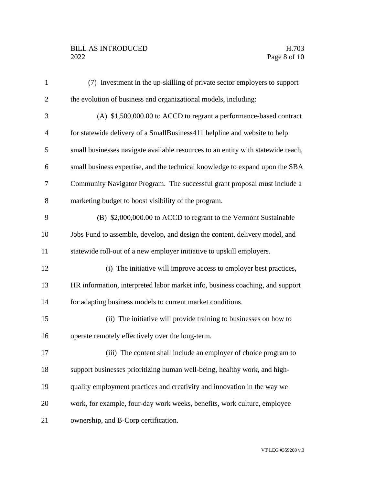# BILL AS INTRODUCED H.703<br>2022 Page 8 of 10

| $\mathbf{1}$   | (7) Investment in the up-skilling of private sector employers to support         |
|----------------|----------------------------------------------------------------------------------|
| $\overline{2}$ | the evolution of business and organizational models, including:                  |
| 3              | $(A)$ \$1,500,000.00 to ACCD to regrant a performance-based contract             |
| $\overline{4}$ | for statewide delivery of a SmallBusiness411 helpline and website to help        |
| 5              | small businesses navigate available resources to an entity with statewide reach, |
| 6              | small business expertise, and the technical knowledge to expand upon the SBA     |
| 7              | Community Navigator Program. The successful grant proposal must include a        |
| 8              | marketing budget to boost visibility of the program.                             |
| 9              | (B) \$2,000,000.00 to ACCD to regrant to the Vermont Sustainable                 |
| 10             | Jobs Fund to assemble, develop, and design the content, delivery model, and      |
| 11             | statewide roll-out of a new employer initiative to upskill employers.            |
| 12             | (i) The initiative will improve access to employer best practices,               |
| 13             | HR information, interpreted labor market info, business coaching, and support    |
| 14             | for adapting business models to current market conditions.                       |
| 15             | (ii) The initiative will provide training to businesses on how to                |
| 16             | operate remotely effectively over the long-term.                                 |
| 17             | (iii) The content shall include an employer of choice program to                 |
| 18             | support businesses prioritizing human well-being, healthy work, and high-        |
| 19             | quality employment practices and creativity and innovation in the way we         |
| 20             | work, for example, four-day work weeks, benefits, work culture, employee         |
| 21             | ownership, and B-Corp certification.                                             |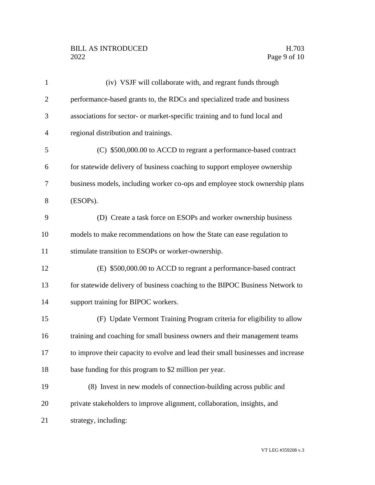# BILL AS INTRODUCED H.703<br>2022 Page 9 of 10

| $\mathbf{1}$   | (iv) VSJF will collaborate with, and regrant funds through                       |
|----------------|----------------------------------------------------------------------------------|
| $\overline{2}$ | performance-based grants to, the RDCs and specialized trade and business         |
| 3              | associations for sector- or market-specific training and to fund local and       |
| $\overline{4}$ | regional distribution and trainings.                                             |
| 5              | (C) \$500,000.00 to ACCD to regrant a performance-based contract                 |
| 6              | for statewide delivery of business coaching to support employee ownership        |
| 7              | business models, including worker co-ops and employee stock ownership plans      |
| 8              | (ESOPs).                                                                         |
| 9              | (D) Create a task force on ESOPs and worker ownership business                   |
| 10             | models to make recommendations on how the State can ease regulation to           |
| 11             | stimulate transition to ESOPs or worker-ownership.                               |
| 12             | (E) \$500,000.00 to ACCD to regrant a performance-based contract                 |
| 13             | for statewide delivery of business coaching to the BIPOC Business Network to     |
| 14             | support training for BIPOC workers.                                              |
| 15             | (F) Update Vermont Training Program criteria for eligibility to allow            |
| 16             | training and coaching for small business owners and their management teams       |
| 17             | to improve their capacity to evolve and lead their small businesses and increase |
| 18             | base funding for this program to \$2 million per year.                           |
| 19             | (8) Invest in new models of connection-building across public and                |
| 20             | private stakeholders to improve alignment, collaboration, insights, and          |
| 21             | strategy, including:                                                             |